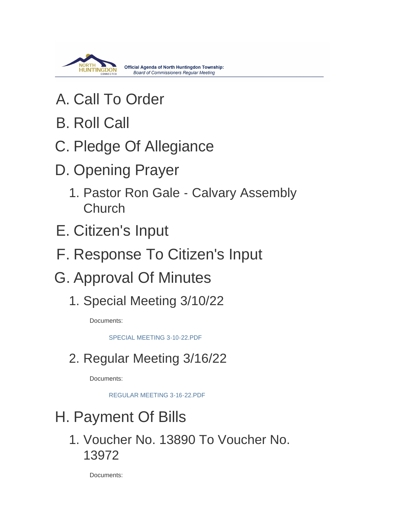

- A. Call To Order
- **B. Roll Call**
- C. Pledge Of Allegiance
- D. Opening Prayer
	- 1. Pastor Ron Gale Calvary Assembly Church
- E. Citizen's Input
- F. Response To Citizen's Input
- G. Approval Of Minutes
	- 1. Special Meeting 3/10/22

Documents:

[SPECIAL MEETING 3-10-22.PDF](https://www.township.north-huntingdon.pa.us/AgendaCenter/ViewFile/Item/3870?fileID=3199)

# 2. Regular Meeting 3/16/22

Documents:

[REGULAR MEETING 3-16-22.PDF](https://www.township.north-huntingdon.pa.us/AgendaCenter/ViewFile/Item/3871?fileID=3200)

# H. Payment Of Bills

1. Voucher No. 13890 To Voucher No. 13972

Documents: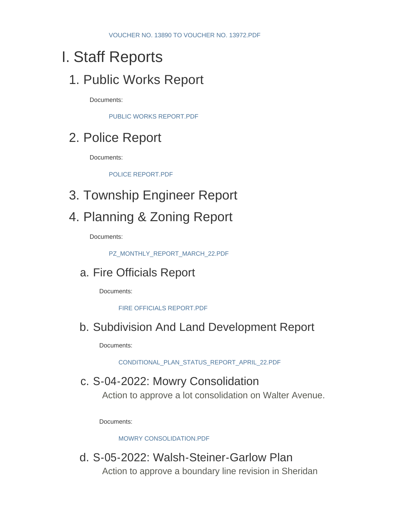# Staff Reports I.

## 1. Public Works Report

Documents:

[PUBLIC WORKS REPORT.PDF](https://www.township.north-huntingdon.pa.us/AgendaCenter/ViewFile/Item/3860?fileID=3189)

# 2. Police Report

Documents:

[POLICE REPORT.PDF](https://www.township.north-huntingdon.pa.us/AgendaCenter/ViewFile/Item/3861?fileID=3190)

3. Township Engineer Report

## 4. Planning & Zoning Report

Documents:

[PZ\\_MONTHLY\\_REPORT\\_MARCH\\_22.PDF](https://www.township.north-huntingdon.pa.us/AgendaCenter/ViewFile/Item/3862?fileID=3191)

### a. Fire Officials Report

Documents:

[FIRE OFFICIALS REPORT.PDF](https://www.township.north-huntingdon.pa.us/AgendaCenter/ViewFile/Item/3863?fileID=3192)

### b. Subdivision And Land Development Report

Documents:

[CONDITIONAL\\_PLAN\\_STATUS\\_REPORT\\_APRIL\\_22.PDF](https://www.township.north-huntingdon.pa.us/AgendaCenter/ViewFile/Item/3864?fileID=3193)

#### c. S-04-2022: Mowry Consolidation

Action to approve a lot consolidation on Walter Avenue.

Documents:

[MOWRY CONSOLIDATION.PDF](https://www.township.north-huntingdon.pa.us/AgendaCenter/ViewFile/Item/3865?fileID=3194)

d. S-05-2022: Walsh-Steiner-Garlow Plan Action to approve a boundary line revision in Sheridan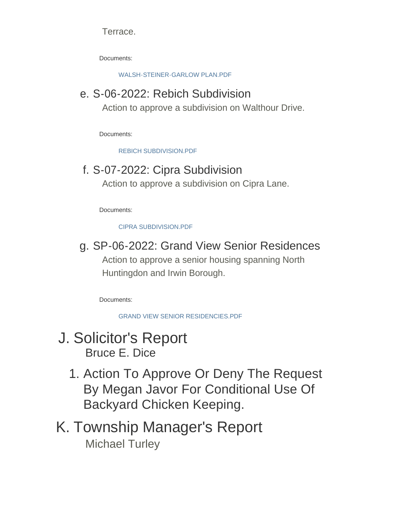Terrace.

Documents:

[WALSH-STEINER-GARLOW PLAN.PDF](https://www.township.north-huntingdon.pa.us/AgendaCenter/ViewFile/Item/3866?fileID=3195)

## e. S-06-2022: Rebich Subdivision

Action to approve a subdivision on Walthour Drive.

Documents:

[REBICH SUBDIVISION.PDF](https://www.township.north-huntingdon.pa.us/AgendaCenter/ViewFile/Item/3867?fileID=3196)

## f. S-07-2022: Cipra Subdivision

Action to approve a subdivision on Cipra Lane.

Documents:

[CIPRA SUBDIVISION.PDF](https://www.township.north-huntingdon.pa.us/AgendaCenter/ViewFile/Item/3868?fileID=3197)

## g. SP-06-2022: Grand View Senior Residences

Action to approve a senior housing spanning North Huntingdon and Irwin Borough.

Documents:

[GRAND VIEW SENIOR RESIDENCIES.PDF](https://www.township.north-huntingdon.pa.us/AgendaCenter/ViewFile/Item/3869?fileID=3198)

### J. Solicitor's Report Bruce E. Dice

1. Action To Approve Or Deny The Request By Megan Javor For Conditional Use Of Backyard Chicken Keeping.

# K. Township Manager's Report Michael Turley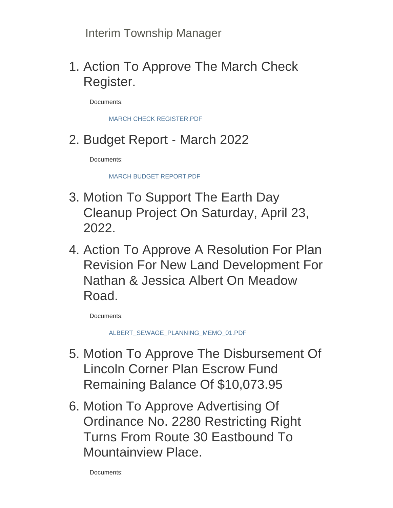Interim Township Manager

1. Action To Approve The March Check Register.

Documents:

[MARCH CHECK REGISTER.PDF](https://www.township.north-huntingdon.pa.us/AgendaCenter/ViewFile/Item/3874?fileID=3203)

2. Budget Report - March 2022

Documents:

[MARCH BUDGET REPORT.PDF](https://www.township.north-huntingdon.pa.us/AgendaCenter/ViewFile/Item/3875?fileID=3204)

- 3. Motion To Support The Earth Day Cleanup Project On Saturday, April 23, 2022.
- 4. Action To Approve A Resolution For Plan Revision For New Land Development For Nathan & Jessica Albert On Meadow Road.

Documents:

[ALBERT\\_SEWAGE\\_PLANNING\\_MEMO\\_01.PDF](https://www.township.north-huntingdon.pa.us/AgendaCenter/ViewFile/Item/3877?fileID=3205)

- 5. Motion To Approve The Disbursement Of Lincoln Corner Plan Escrow Fund Remaining Balance Of \$10,073.95
- 6. Motion To Approve Advertising Of Ordinance No. 2280 Restricting Right Turns From Route 30 Eastbound To Mountainview Place.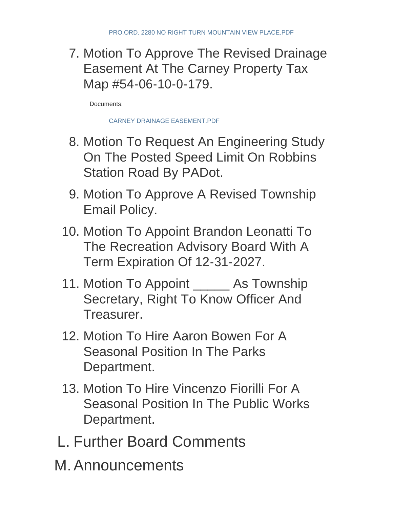7. Motion To Approve The Revised Drainage Easement At The Carney Property Tax Map #54-06-10-0-179.

Documents:

[CARNEY DRAINAGE EASEMENT.PDF](https://www.township.north-huntingdon.pa.us/AgendaCenter/ViewFile/Item/3880?fileID=3207)

- 8. Motion To Request An Engineering Study On The Posted Speed Limit On Robbins Station Road By PADot.
- 9. Motion To Approve A Revised Township Email Policy.
- 10. Motion To Appoint Brandon Leonatti To The Recreation Advisory Board With A Term Expiration Of 12-31-2027.
- 11. Motion To Appoint \_\_\_\_\_\_ As Township Secretary, Right To Know Officer And Treasurer.
- 12. Motion To Hire Aaron Bowen For A Seasonal Position In The Parks Department.
- 13. Motion To Hire Vincenzo Fiorilli For A Seasonal Position In The Public Works Department.
- L. Further Board Comments
- M. Announcements